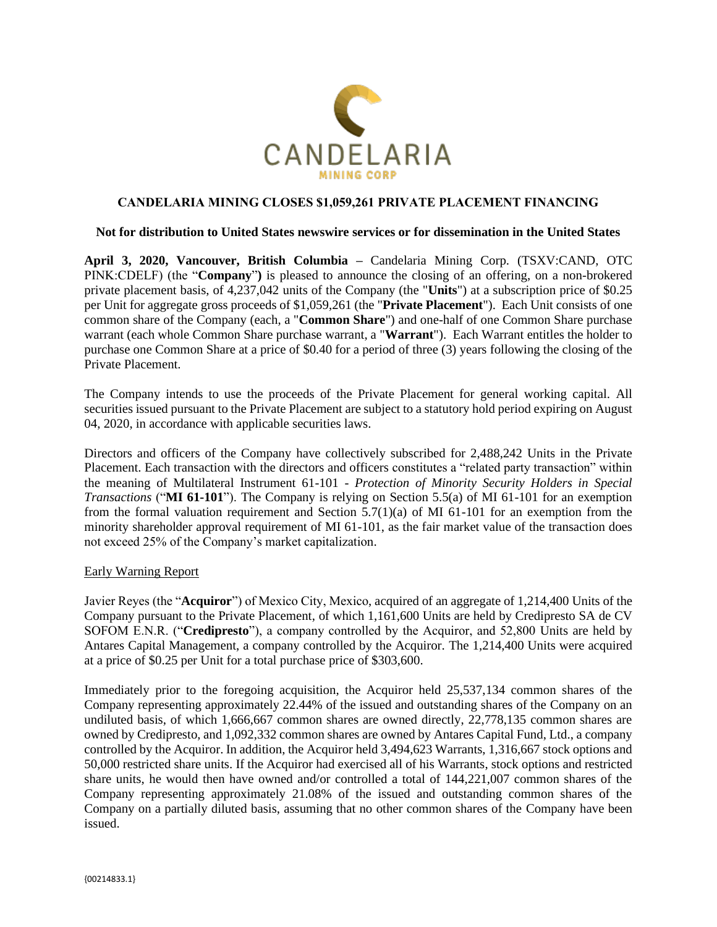

# **CANDELARIA MINING CLOSES \$1,059,261 PRIVATE PLACEMENT FINANCING**

### **Not for distribution to United States newswire services or for dissemination in the United States**

**April 3, 2020, Vancouver, British Columbia –** Candelaria Mining Corp. (TSXV:CAND, OTC PINK:CDELF) (the "**Company**"**)** is pleased to announce the closing of an offering, on a non-brokered private placement basis, of 4,237,042 units of the Company (the "**Units**") at a subscription price of \$0.25 per Unit for aggregate gross proceeds of \$1,059,261 (the "**Private Placement**"). Each Unit consists of one common share of the Company (each, a "**Common Share**") and one-half of one Common Share purchase warrant (each whole Common Share purchase warrant, a "**Warrant**"). Each Warrant entitles the holder to purchase one Common Share at a price of \$0.40 for a period of three (3) years following the closing of the Private Placement.

The Company intends to use the proceeds of the Private Placement for general working capital. All securities issued pursuant to the Private Placement are subject to a statutory hold period expiring on August 04, 2020, in accordance with applicable securities laws.

Directors and officers of the Company have collectively subscribed for 2,488,242 Units in the Private Placement. Each transaction with the directors and officers constitutes a "related party transaction" within the meaning of Multilateral Instrument 61-101 - *Protection of Minority Security Holders in Special Transactions* ("**MI 61-101**"). The Company is relying on Section 5.5(a) of MI 61-101 for an exemption from the formal valuation requirement and Section 5.7(1)(a) of MI 61-101 for an exemption from the minority shareholder approval requirement of MI 61-101, as the fair market value of the transaction does not exceed 25% of the Company's market capitalization.

### Early Warning Report

Javier Reyes (the "**Acquiror**") of Mexico City, Mexico, acquired of an aggregate of 1,214,400 Units of the Company pursuant to the Private Placement, of which 1,161,600 Units are held by Credipresto SA de CV SOFOM E.N.R. ("**Credipresto**"), a company controlled by the Acquiror, and 52,800 Units are held by Antares Capital Management, a company controlled by the Acquiror. The 1,214,400 Units were acquired at a price of \$0.25 per Unit for a total purchase price of \$303,600.

Immediately prior to the foregoing acquisition, the Acquiror held 25,537,134 common shares of the Company representing approximately 22.44% of the issued and outstanding shares of the Company on an undiluted basis, of which 1,666,667 common shares are owned directly, 22,778,135 common shares are owned by Credipresto, and 1,092,332 common shares are owned by Antares Capital Fund, Ltd., a company controlled by the Acquiror. In addition, the Acquiror held 3,494,623 Warrants, 1,316,667 stock options and 50,000 restricted share units. If the Acquiror had exercised all of his Warrants, stock options and restricted share units, he would then have owned and/or controlled a total of 144,221,007 common shares of the Company representing approximately 21.08% of the issued and outstanding common shares of the Company on a partially diluted basis, assuming that no other common shares of the Company have been issued.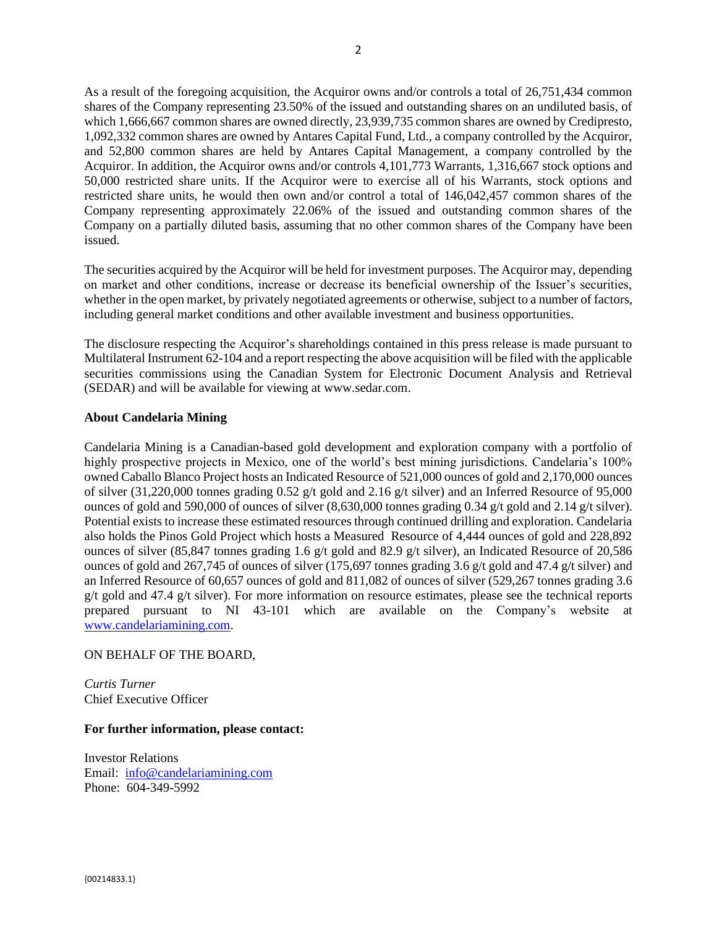As a result of the foregoing acquisition, the Acquiror owns and/or controls a total of 26,751,434 common shares of the Company representing 23.50% of the issued and outstanding shares on an undiluted basis, of which 1,666,667 common shares are owned directly, 23,939,735 common shares are owned by Credipresto, 1,092,332 common shares are owned by Antares Capital Fund, Ltd., a company controlled by the Acquiror, and 52,800 common shares are held by Antares Capital Management, a company controlled by the Acquiror. In addition, the Acquiror owns and/or controls 4,101,773 Warrants, 1,316,667 stock options and 50,000 restricted share units. If the Acquiror were to exercise all of his Warrants, stock options and restricted share units, he would then own and/or control a total of 146,042,457 common shares of the Company representing approximately 22.06% of the issued and outstanding common shares of the Company on a partially diluted basis, assuming that no other common shares of the Company have been issued.

The securities acquired by the Acquiror will be held for investment purposes. The Acquiror may, depending on market and other conditions, increase or decrease its beneficial ownership of the Issuer's securities, whether in the open market, by privately negotiated agreements or otherwise, subject to a number of factors, including general market conditions and other available investment and business opportunities.

The disclosure respecting the Acquiror's shareholdings contained in this press release is made pursuant to Multilateral Instrument 62-104 and a report respecting the above acquisition will be filed with the applicable securities commissions using the Canadian System for Electronic Document Analysis and Retrieval (SEDAR) and will be available for viewing at www.sedar.com.

## **About Candelaria Mining**

Candelaria Mining is a Canadian-based gold development and exploration company with a portfolio of highly prospective projects in Mexico, one of the world's best mining jurisdictions. Candelaria's 100% owned Caballo Blanco Project hosts an Indicated Resource of 521,000 ounces of gold and 2,170,000 ounces of silver (31,220,000 tonnes grading 0.52 g/t gold and 2.16 g/t silver) and an Inferred Resource of 95,000 ounces of gold and 590,000 of ounces of silver  $(8,630,000$  tonnes grading 0.34 g/t gold and 2.14 g/t silver). Potential exists to increase these estimated resources through continued drilling and exploration. Candelaria also holds the Pinos Gold Project which hosts a Measured Resource of 4,444 ounces of gold and 228,892 ounces of silver (85,847 tonnes grading 1.6 g/t gold and 82.9 g/t silver), an Indicated Resource of 20,586 ounces of gold and 267,745 of ounces of silver (175,697 tonnes grading 3.6 g/t gold and 47.4 g/t silver) and an Inferred Resource of 60,657 ounces of gold and 811,082 of ounces of silver (529,267 tonnes grading 3.6 g/t gold and 47.4 g/t silver). For more information on resource estimates, please see the technical reports prepared pursuant to NI 43-101 which are available on the Company's website at [www.candelariamining.com.](http://www.candelariamining.com/)

## ON BEHALF OF THE BOARD,

*Curtis Turner* Chief Executive Officer

### **For further information, please contact:**

Investor Relations Email: [info@candelariamining.com](mailto:contact@candelariamining.com) Phone: 604-349-5992